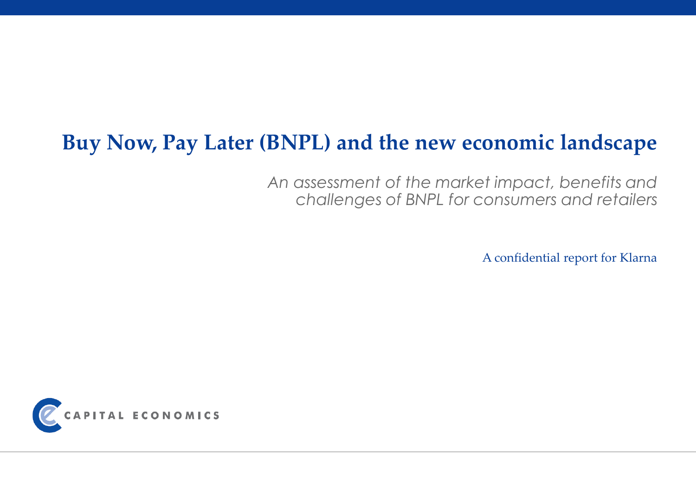# **Buy Now, Pay Later (BNPL) and the new economic landscape**

*An assessment of the market impact, benefits and challenges of BNPL for consumers and retailers*

A confidential report for Klarna

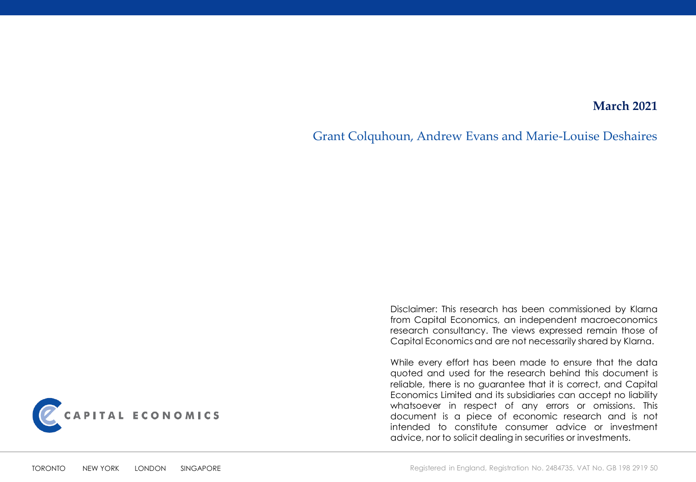### **March 2021**

Grant Colquhoun, Andrew Evans and Marie-Louise Deshaires



Disclaimer: This research has been commissioned by Klarna from Capital Economics, an independent macroeconomics research consultancy. The views expressed remain those of Capital Economics and are not necessarily shared by Klarna.

While every effort has been made to ensure that the data quoted and used for the research behind this document is reliable, there is no guarantee that it is correct, and Capital Economics Limited and its subsidiaries can accept no liability whatsoever in respect of any errors or omissions. This document is a piece of economic research and is not intended to constitute consumer advice or investment advice, nor to solicit dealing in securities or investments.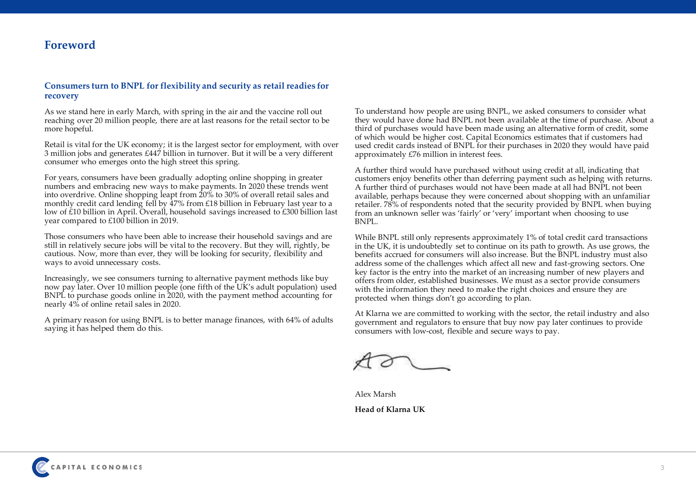### **Foreword**

#### **Consumers turn to BNPL for flexibility and security as retail readies for recovery**

As we stand here in early March, with spring in the air and the vaccine roll out reaching over 20 million people, there are at last reasons for the retail sector to be more hopeful.

Retail is vital for the UK economy; it is the largest sector for employment, with over 3 million jobs and generates £447 billion in turnover. But it will be a very different consumer who emerges onto the high street this spring.

For years, consumers have been gradually adopting online shopping in greater numbers and embracing new ways to make payments. In 2020 these trends went into overdrive. Online shopping leapt from 20% to 30% of overall retail sales and monthly credit card lending fell by 47% from £18 billion in February last year to a low of £10 billion in April. Overall, household savings increased to £300 billion last year compared to £100 billion in 2019.

Those consumers who have been able to increase their household savings and are still in relatively secure jobs will be vital to the recovery. But they will, rightly, be cautious. Now, more than ever, they will be looking for security, flexibility and ways to avoid unnecessary costs.

Increasingly, we see consumers turning to alternative payment methods like buy now pay later. Over 10 million people (one fifth of the UK's adult population) used BNPL to purchase goods online in 2020, with the payment method accounting for nearly 4% of online retail sales in 2020.

A primary reason for using BNPL is to better manage finances, with 64% of adults saying it has helped them do this.

To understand how people are using BNPL, we asked consumers to consider what they would have done had BNPL not been available at the time of purchase. About a third of purchases would have been made using an alternative form of credit, some of which would be higher cost. Capital Economics estimates that if customers had used credit cards instead of BNPL for their purchases in 2020 they would have paid approximately £76 million in interest fees.

A further third would have purchased without using credit at all, indicating that customers enjoy benefits other than deferring payment such as helping with returns. A further third of purchases would not have been made at all had BNPL not been available, perhaps because they were concerned about shopping with an unfamiliar retailer. 78% of respondents noted that the security provided by BNPL when buying from an unknown seller was 'fairly' or 'very' important when choosing to use BNPL.

While BNPL still only represents approximately 1% of total credit card transactions in the UK, it is undoubtedly set to continue on its path to growth. As use grows, the benefits accrued for consumers will also increase. But the BNPL industry must also address some of the challenges which affect all new and fast-growing sectors. One key factor is the entry into the market of an increasing number of new players and offers from older, established businesses. We must as a sector provide consumers with the information they need to make the right choices and ensure they are protected when things don't go according to plan.

At Klarna we are committed to working with the sector, the retail industry and also government and regulators to ensure that buy now pay later continues to provide consumers with low-cost, flexible and secure ways to pay.

Alex Marsh **Head of Klarna UK**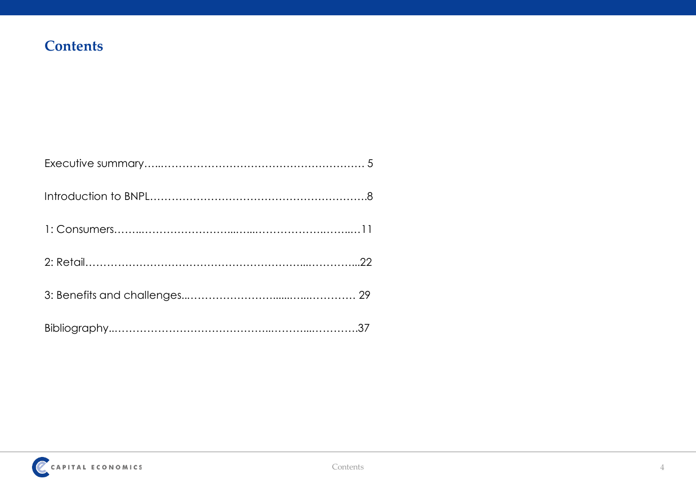### **Contents**

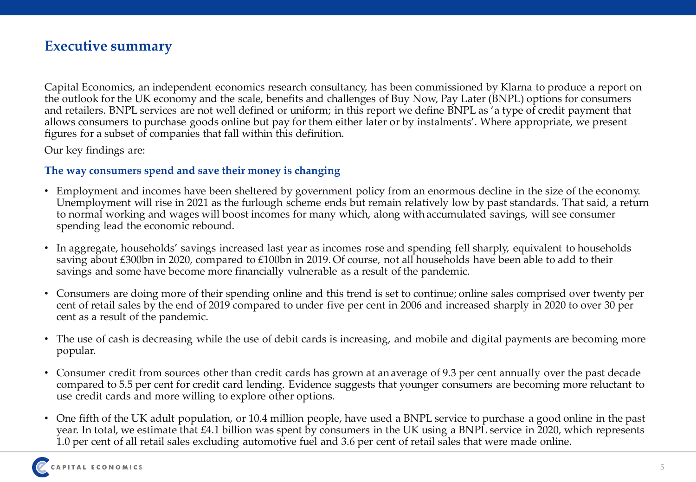### **Executive summary**

Capital Economics, an independent economics research consultancy, has been commissioned by Klarna to produce a report on the outlook for the UK economy and the scale, benefits and challenges of Buy Now, Pay Later (BNPL) options for consumers and retailers. BNPL services are not well defined or uniform; in this report we define BNPL as 'a type of credit payment that allows consumers to purchase goods online but pay for them either later or by instalments'. Where appropriate, we present figures for a subset of companies that fall within this definition.

Our key findings are:

### **The way consumers spend and save their money is changing**

- Employment and incomes have been sheltered by government policy from an enormous decline in the size of the economy. Unemployment will rise in 2021 as the furlough scheme ends but remain relatively low by past standards. That said, a return to normal working and wages will boost incomes for many which, along with accumulated savings, will see consumer spending lead the economic rebound.
- In aggregate, households' savings increased last year as incomes rose and spending fell sharply, equivalent to households saving about £300bn in 2020, compared to £100bn in 2019. Of course, not all households have been able to add to their savings and some have become more financially vulnerable as a result of the pandemic.
- Consumers are doing more of their spending online and this trend is set to continue; online sales comprised over twenty per cent of retail sales by the end of 2019 compared to under five per cent in 2006 and increased sharply in 2020 to over 30 per cent as a result of the pandemic.
- The use of cash is decreasing while the use of debit cards is increasing, and mobile and digital payments are becoming more popular.
- Consumer credit from sources other than credit cards has grown at an average of 9.3 per cent annually over the past decade compared to 5.5 per cent for credit card lending. Evidence suggests that younger consumers are becoming more reluctant to use credit cards and more willing to explore other options.
- One fifth of the UK adult population, or 10.4 million people, have used a BNPL service to purchase a good online in the past year. In total, we estimate that £4.1 billion was spent by consumers in the UK using a BNPL service in 2020, which represents 1.0 per cent of all retail sales excluding automotive fuel and 3.6 per cent of retail sales that were made online.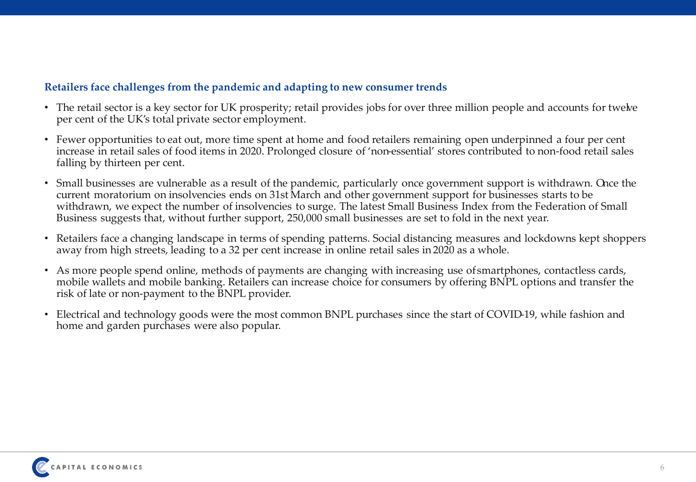### **Retailers face challenges from the pandemic and adapting to new consumer trends**

- The retail sector is a key sector for UK prosperity; retail provides jobs for over three million people and accounts for twelve per cent of the UK's total private sector employment.
- Fewer opportunities to eat out, more time spent at home and food retailers remaining open underpinned a four per cent increase in retail sales of food items in 2020. Prolonged closure of 'non-essential' stores contributed to non-food retail sales falling by thirteen per cent.
- Small businesses are vulnerable as a result of the pandemic, particularly once government support is withdrawn. Once the current moratorium on insolvencies ends on 31st March and other government support for businesses starts to be withdrawn, we expect the number of insolvencies to surge. The latest Small Business Index from the Federation of Small Business suggests that, without further support, 250,000 small businesses are set to fold in the next year.
- Retailers face a changing landscape in terms of spending patterns. Social distancing measures and lockdowns kept shoppers away from high streets, leading to a 32 per cent increase in online retail sales in 2020 as a whole.
- As more people spend online, methods of payments are changing with increasing use of smartphones, contactless cards, mobile wallets and mobile banking. Retailers can increase choice for consumers by offering BNPL options and transfer the risk of late or non-payment to the BNPL provider.
- Electrical and technology goods were the most common BNPL purchases since the start of COVID-19, while fashion and home and garden purchases were also popular.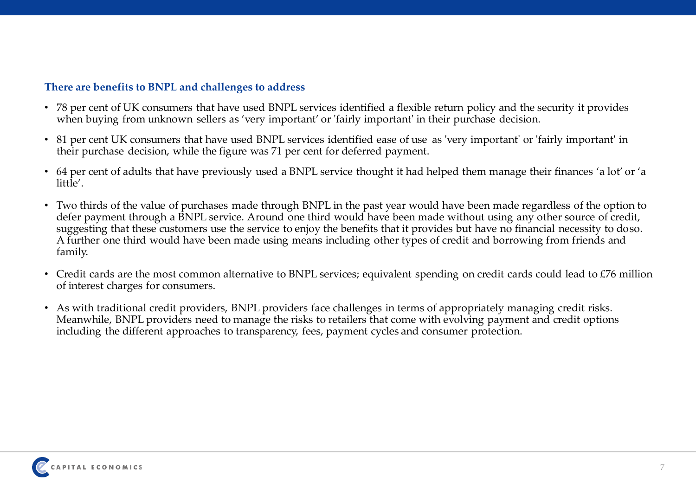### **There are benefits to BNPL and challenges to address**

- 78 per cent of UK consumers that have used BNPL services identified a flexible return policy and the security it provides when buying from unknown sellers as 'very important' or 'fairly important' in their purchase decision.
- 81 per cent UK consumers that have used BNPL services identified ease of use as 'very important' or 'fairly important' in their purchase decision, while the figure was 71 per cent for deferred payment.
- 64 per cent of adults that have previously used a BNPL service thought it had helped them manage their finances 'a lot' or 'a little'.
- Two thirds of the value of purchases made through BNPL in the past year would have been made regardless of the option to defer payment through a BNPL service. Around one third would have been made without using any other source of credit, suggesting that these customers use the service to enjoy the benefits that it provides but have no financial necessity to doso. A further one third would have been made using means including other types of credit and borrowing from friends and family.
- Credit cards are the most common alternative to BNPL services; equivalent spending on credit cards could lead to £76 million of interest charges for consumers.
- As with traditional credit providers, BNPL providers face challenges in terms of appropriately managing credit risks. Meanwhile, BNPL providers need to manage the risks to retailers that come with evolving payment and credit options including the different approaches to transparency, fees, payment cycles and consumer protection.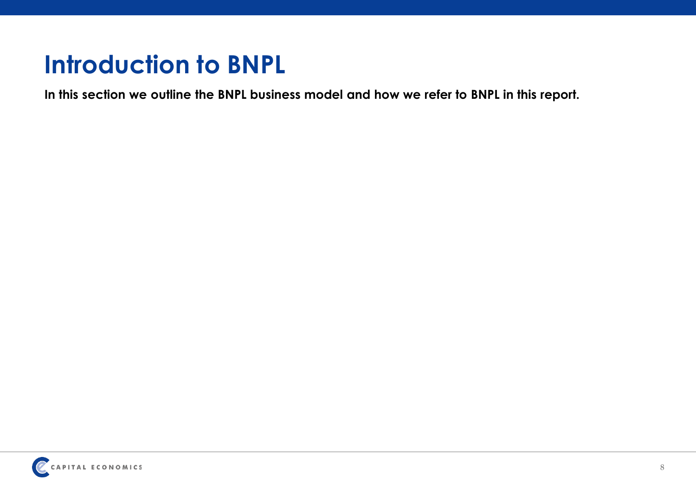# **Introduction to BNPL**

**In this section we outline the BNPL business model and how we refer to BNPL in this report.** 

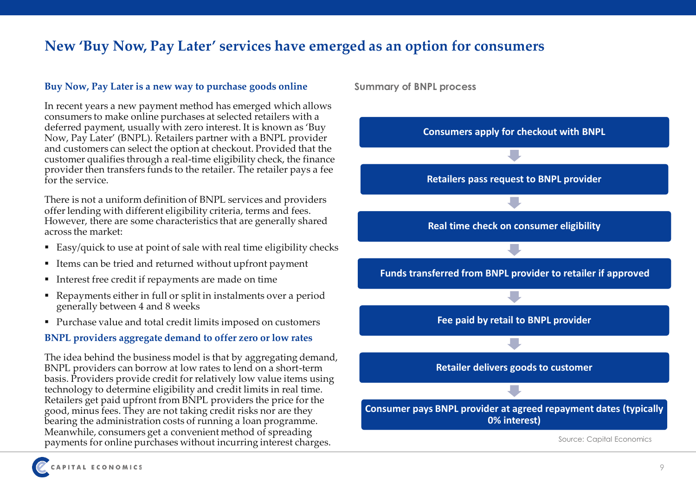### **New 'Buy Now, Pay Later' services have emerged as an option for consumers**

### **Buy Now, Pay Later is a new way to purchase goods online**

In recent years a new payment method has emerged which allows consumers to make online purchases at selected retailers with a deferred payment, usually with zero interest. It is known as 'Buy Now, Pay Later' (BNPL). Retailers partner with a BNPL provider and customers can select the option at checkout. Provided that the customer qualifies through a real-time eligibility check, the finance provider then transfers funds to the retailer. The retailer pays a fee for the service.

There is not a uniform definition of BNPL services and providers offer lending with different eligibility criteria, terms and fees. However, there are some characteristics that are generally shared across the market:

- Easy/quick to use at point of sale with real time eligibility checks
- Items can be tried and returned without upfront payment
- Interest free credit if repayments are made on time
- Repayments either in full or split in instalments over a period generally between 4 and 8 weeks
- Purchase value and total credit limits imposed on customers

### **BNPL providers aggregate demand to offer zero or low rates**

The idea behind the business model is that by aggregating demand, BNPL providers can borrow at low rates to lend on a short-term basis. Providers provide credit for relatively low value items using technology to determine eligibility and credit limits in real time. Retailers get paid upfront from BNPL providers the price for the good, minus fees. They are not taking credit risks nor are they bearing the administration costs of running a loan programme. Meanwhile, consumers get a convenient method of spreading payments for online purchases without incurring interest charges.

**Summary of BNPL process**

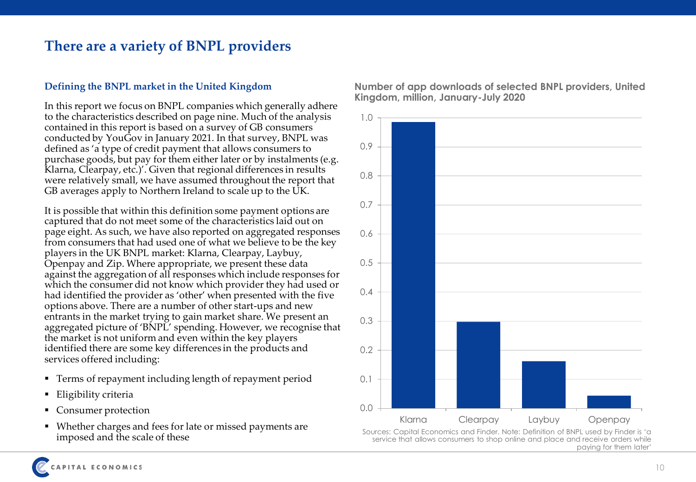### **There are a variety of BNPL providers**

### **Defining the BNPL market in the United Kingdom**

In this report we focus on BNPL companies which generally adhere to the characteristics described on page nine. Much of the analysis contained in this report is based on a survey of GB consumers conducted by YouGov in January 2021. In that survey, BNPL was defined as 'a type of credit payment that allows consumers to purchase goods, but pay for them either later or by instalments (e.g. Klarna, Clearpay, etc.)'. Given that regional differences in results were relatively small, we have assumed throughout the report that GB averages apply to Northern Ireland to scale up to the UK.

It is possible that within this definition some payment options are captured that do not meet some of the characteristics laid out on page eight. As such, we have also reported on aggregated responses from consumers that had used one of what we believe to be the key players in the UK BNPL market: Klarna, Clearpay, Laybuy, Openpay and Zip. Where appropriate, we present these data against the aggregation of all responses which include responses for which the consumer did not know which provider they had used or had identified the provider as 'other' when presented with the five options above. There are a number of other start-ups and new entrants in the market trying to gain market share. We present an aggregated picture of 'BNPL' spending. However, we recognise that the market is not uniform and even within the key players identified there are some key differences in the products and services offered including:

- Terms of repayment including length of repayment period
- Eligibility criteria
- Consumer protection
- Whether charges and fees for late or missed payments are imposed and the scale of these



**Number of app downloads of selected BNPL providers, United Kingdom, million, January-July 2020**

Sources: Capital Economics and Finder. Note: Definition of BNPL used by Finder is 'a service that allows consumers to shop online and place and receive orders while paying for them later'

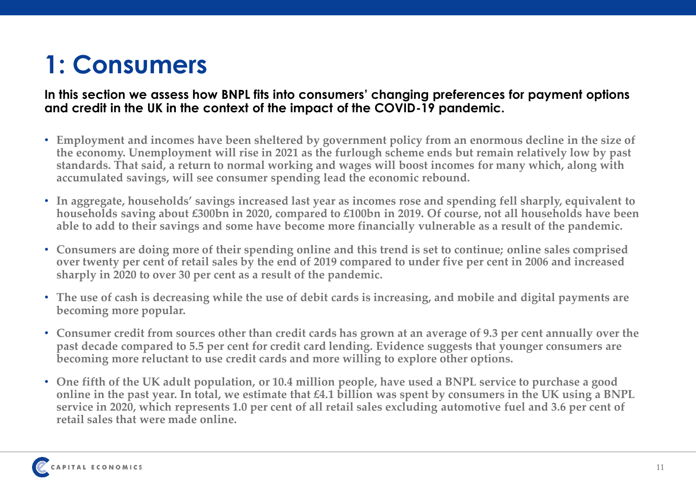# **1: Consumers**

### **In this section we assess how BNPL fits into consumers' changing preferences for payment options and credit in the UK in the context of the impact of the COVID-19 pandemic.**

- **Employment and incomes have been sheltered by government policy from an enormous decline in the size of the economy. Unemployment will rise in 2021 as the furlough scheme ends but remain relatively low by past standards. That said, a return to normal working and wages will boost incomes for many which, along with accumulated savings, will see consumer spending lead the economic rebound.**
- **In aggregate, households' savings increased last year as incomes rose and spending fell sharply, equivalent to households saving about £300bn in 2020, compared to £100bn in 2019. Of course, not all households have been able to add to their savings and some have become more financially vulnerable as a result of the pandemic.**
- **Consumers are doing more of their spending online and this trend is set to continue; online sales comprised over twenty per cent of retail sales by the end of 2019 compared to under five per cent in 2006 and increased sharply in 2020 to over 30 per cent as a result of the pandemic.**
- **The use of cash is decreasing while the use of debit cards is increasing, and mobile and digital payments are becoming more popular.**
- **Consumer credit from sources other than credit cards has grown at an average of 9.3 per cent annually over the past decade compared to 5.5 per cent for credit card lending. Evidence suggests that younger consumers are becoming more reluctant to use credit cards and more willing to explore other options.**
- **One fifth of the UK adult population, or 10.4 million people, have used a BNPL service to purchase a good online in the past year. In total, we estimate that £4.1 billion was spent by consumers in the UK using a BNPL service in 2020, which represents 1.0 per cent of all retail sales excluding automotive fuel and 3.6 per cent of retail sales that were made online.**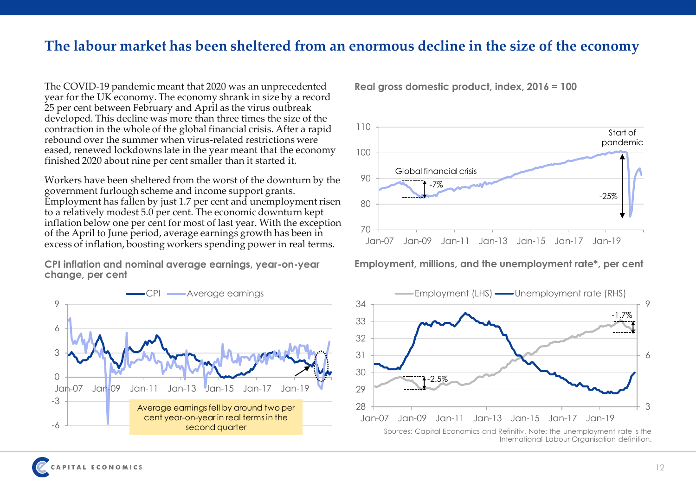### **The labour market has been sheltered from an enormous decline in the size of the economy**

The COVID-19 pandemic meant that 2020 was an unprecedented year for the UK economy. The economy shrank in size by a record 25 per cent between February and April as the virus outbreak developed. This decline was more than three times the size of the contraction in the whole of the global financial crisis. After a rapid rebound over the summer when virus-related restrictions were eased, renewed lockdowns late in the year meant that the economy finished 2020 about nine per cent smaller than it started it.

Workers have been sheltered from the worst of the downturn by the government furlough scheme and income support grants. Employment has fallen by just 1.7 per cent and unemployment risen to a relatively modest 5.0 per cent. The economic downturn kept inflation below one per cent for most of last year. With the exception of the April to June period, average earnings growth has been in excess of inflation, boosting workers spending power in real terms.

**CPI inflation and nominal average earnings, year-on-year Employment, millions, and the unemployment rate\*, per cent change, per cent**



**Real gross domestic product, index, 2016 = 100**



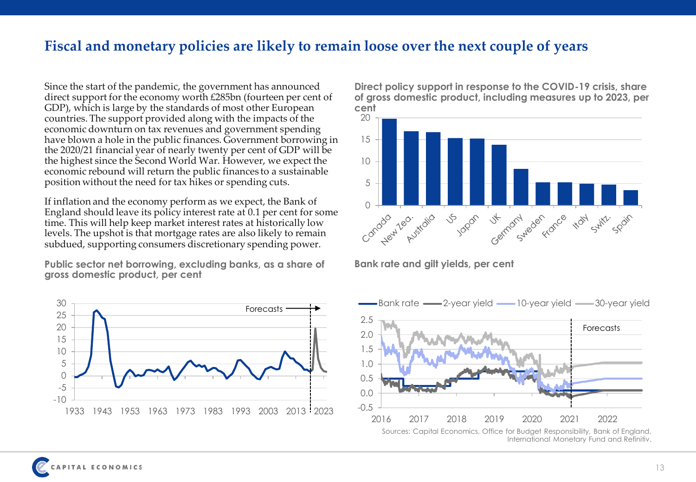### **Fiscal and monetary policies are likely to remain loose over the next couple of years**

Since the start of the pandemic, the government has announced direct support for the economy worth £285bn (fourteen per cent of GDP), which is large by the standards of most other European countries. The support provided along with the impacts of the economic downturn on tax revenues and government spending have blown a hole in the public finances. Government borrowing in the 2020/21 financial year of nearly twenty per cent of GDP will be the highest since the Second World War. However, we expect the economic rebound will return the public finances to a sustainable position without the need for tax hikes or spending cuts.

If inflation and the economy perform as we expect, the Bank of England should leave its policy interest rate at 0.1 per cent for some time. This will help keep market interest rates at historically low levels. The upshot is that mortgage rates are also likely to remain subdued, supporting consumers discretionary spending power.

Public sector net borrowing, excluding banks, as a share of Bank rate and gilt yields, per cent **gross domestic product, per cent**



**Direct policy support in response to the COVID-19 crisis, share of gross domestic product, including measures up to 2023, per cent**



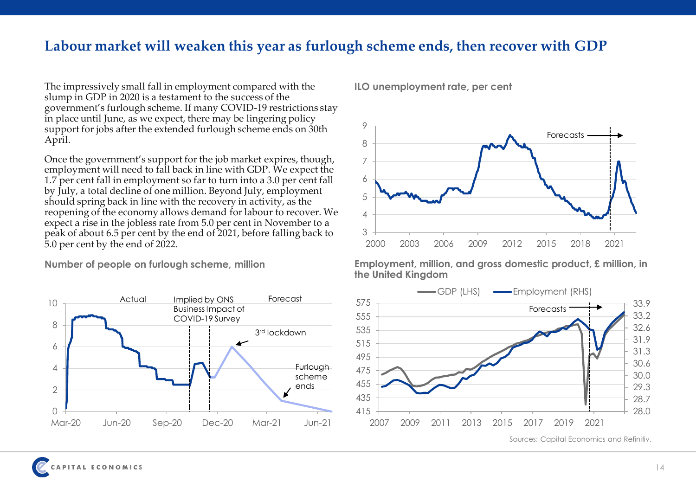### **Labour market will weaken this year as furlough scheme ends, then recover with GDP**

The impressively small fall in employment compared with the slump in GDP in 2020 is a testament to the success of the government's furlough scheme. If many COVID-19 restrictions stay in place until June, as we expect, there may be lingering policy support for jobs after the extended furlough scheme ends on 30th April.

Once the government's support for the job market expires, though, employment will need to fall back in line with GDP. We expect the 1.7 per cent fall in employment so far to turn into a 3.0 per cent fall by July, a total decline of one million. Beyond July, employment should spring back in line with the recovery in activity, as the reopening of the economy allows demand for labour to recover. We expect a rise in the jobless rate from 5.0 per cent in November to a peak of about 6.5 per cent by the end of 2021, before falling back to 5.0 per cent by the end of 2022.

**Number of people on furlough scheme, million**



**ILO unemployment rate, per cent**



**Employment, million, and gross domestic product, £ million, in the United Kingdom**

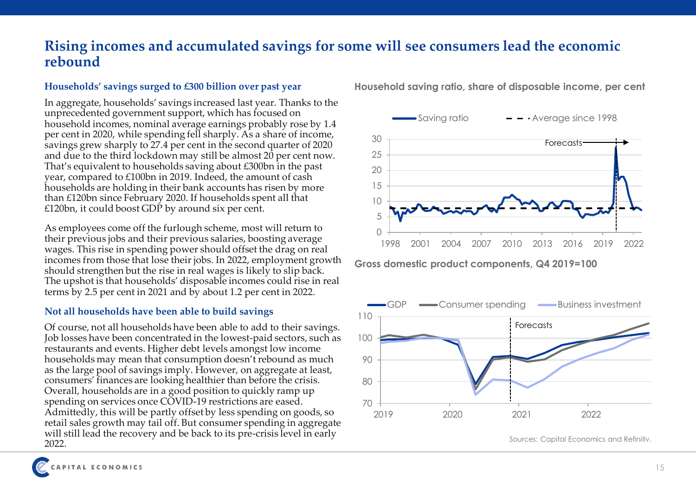### **Rising incomes and accumulated savings for some will see consumers lead the economic rebound**

#### **Households' savings surged to £300 billion over past year**

In aggregate, households' savings increased last year. Thanks to the unprecedented government support, which has focused on household incomes, nominal average earnings probably rose by 1.4 per cent in 2020, while spending fell sharply. As a share of income, savings grew sharply to 27.4 per cent in the second quarter of 2020 and due to the third lockdown may still be almost 20 per cent now. That's equivalent to households saving about £300bn in the past year, compared to £100bn in 2019. Indeed, the amount of cash households are holding in their bank accounts has risen by more than £120bn since February 2020. If households spent all that £120bn, it could boost GDP by around six per cent.

As employees come off the furlough scheme, most will return to their previous jobs and their previous salaries, boosting average wages. This rise in spending power should offset the drag on real incomes from those that lose their jobs. In 2022, employment growth should strengthen but the rise in real wages is likely to slip back. The upshot is that households' disposable incomes could rise in real terms by 2.5 per cent in 2021 and by about 1.2 per cent in 2022.

### **Not all households have been able to build savings**

Of course, not all households have been able to add to their savings. Job losses have been concentrated in the lowest-paid sectors, such as restaurants and events. Higher debt levels amongst low income households may mean that consumption doesn't rebound as much as the large pool of savings imply. However, on aggregate at least, consumers' finances are looking healthier than before the crisis. Overall, households are in a good position to quickly ramp up spending on services once COVID-19 restrictions are eased. Admittedly, this will be partly offset by less spending on goods, so retail sales growth may tail off. But consumer spending in aggregate will still lead the recovery and be back to its pre-crisis level in early 2022.

**Household saving ratio, share of disposable income, per cent**



**Gross domestic product components, Q4 2019=100**



Sources: Capital Economics and Refinitiv.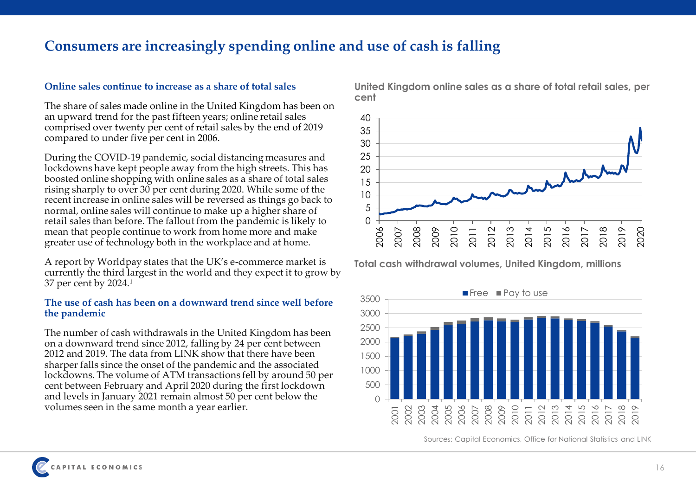### **Consumers are increasingly spending online and use of cash is falling**

### **Online sales continue to increase as a share of total sales**

The share of sales made online in the United Kingdom has been on an upward trend for the past fifteen years; online retail sales comprised over twenty per cent of retail sales by the end of 2019 compared to under five per cent in 2006.

During the COVID-19 pandemic, social distancing measures and lockdowns have kept people away from the high streets. This has boosted online shopping with online sales as a share of total sales rising sharply to over 30 per cent during 2020. While some of the recent increase in online sales will be reversed as things go back to normal, online sales will continue to make up a higher share of retail sales than before. The fallout from the pandemic is likely to mean that people continue to work from home more and make greater use of technology both in the workplace and at home.

A report by Worldpay states that the UK's e-commerce market is currently the third largest in the world and they expect it to grow by 37 per cent by  $2024.<sup>1</sup>$ 

#### **The use of cash has been on a downward trend since well before the pandemic**

The number of cash withdrawals in the United Kingdom has been on a downward trend since 2012, falling by 24 per cent between 2012 and 2019. The data from LINK show that there have been sharper falls since the onset of the pandemic and the associated lockdowns. The volume of ATM transactions fell by around 50 per cent between February and April 2020 during the first lockdown and levels in January 2021 remain almost 50 per cent below the volumes seen in the same month a year earlier.

**United Kingdom online sales as a share of total retail sales, per cent**



**Total cash withdrawal volumes, United Kingdom, millions**



Sources: Capital Economics, Office for National Statistics and LINK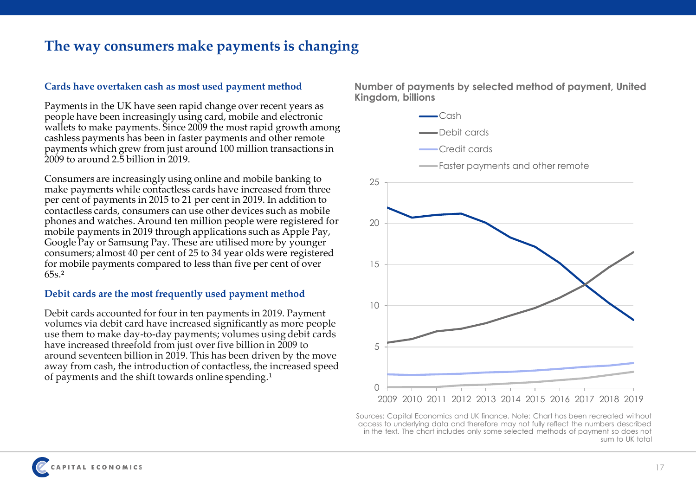### **The way consumers make payments is changing**

#### **Cards have overtaken cash as most used payment method**

Payments in the UK have seen rapid change over recent years as people have been increasingly using card, mobile and electronic wallets to make payments. Since 2009 the most rapid growth among cashless payments has been in faster payments and other remote payments which grew from just around 100 million transactions in 2009 to around 2.5 billion in 2019.

Consumers are increasingly using online and mobile banking to make payments while contactless cards have increased from three per cent of payments in 2015 to 21 per cent in 2019. In addition to contactless cards, consumers can use other devices such as mobile phones and watches. Around ten million people were registered for mobile payments in 2019 through applications such as Apple Pay, Google Pay or Samsung Pay. These are utilised more by younger consumers; almost 40 per cent of 25 to 34 year olds were registered for mobile payments compared to less than five per cent of over  $65s<sup>2</sup>$ 

### **Debit cards are the most frequently used payment method**

Debit cards accounted for four in ten payments in 2019. Payment volumes via debit card have increased significantly as more people use them to make day-to-day payments; volumes using debit cards have increased threefold from just over five billion in 2009 to around seventeen billion in 2019. This has been driven by the move away from cash, the introduction of contactless, the increased speed of payments and the shift towards online spending.<sup>1</sup>

**Number of payments by selected method of payment, United Kingdom, billions**



Sources: Capital Economics and UK finance. Note: Chart has been recreated without access to underlying data and therefore may not fully reflect the numbers described in the text. The chart includes only some selected methods of payment so does not sum to UK total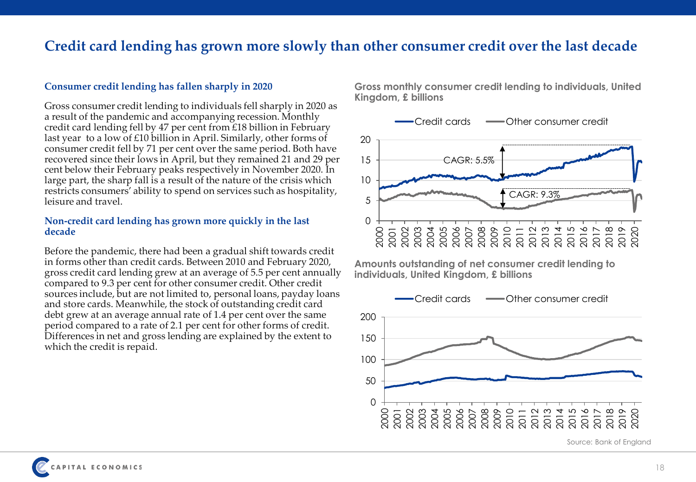### **Credit card lending has grown more slowly than other consumer credit over the last decade**

#### **Consumer credit lending has fallen sharply in 2020**

Gross consumer credit lending to individuals fell sharply in 2020 as a result of the pandemic and accompanying recession. Monthly credit card lending fell by 47 per cent from £18 billion in February last year to a low of £10 billion in April. Similarly, other forms of consumer credit fell by 71 per cent over the same period. Both have recovered since their lows in April, but they remained 21 and 29 per cent below their February peaks respectively in November 2020. In large part, the sharp fall is a result of the nature of the crisis which restricts consumers' ability to spend on services such as hospitality, leisure and travel.

#### **Non-credit card lending has grown more quickly in the last decade**

Before the pandemic, there had been a gradual shift towards credit in forms other than credit cards. Between 2010 and February 2020, gross credit card lending grew at an average of 5.5 per cent annually compared to 9.3 per cent for other consumer credit. Other credit sources include, but are not limited to, personal loans, payday loans and store cards. Meanwhile, the stock of outstanding credit card debt grew at an average annual rate of 1.4 per cent over the same period compared to a rate of 2.1 per cent for other forms of credit. Differences in net and gross lending are explained by the extent to which the credit is repaid.

**Gross monthly consumer credit lending to individuals, United Kingdom, £ billions**



**Amounts outstanding of net consumer credit lending to individuals, United Kingdom, £ billions**



Source: Bank of England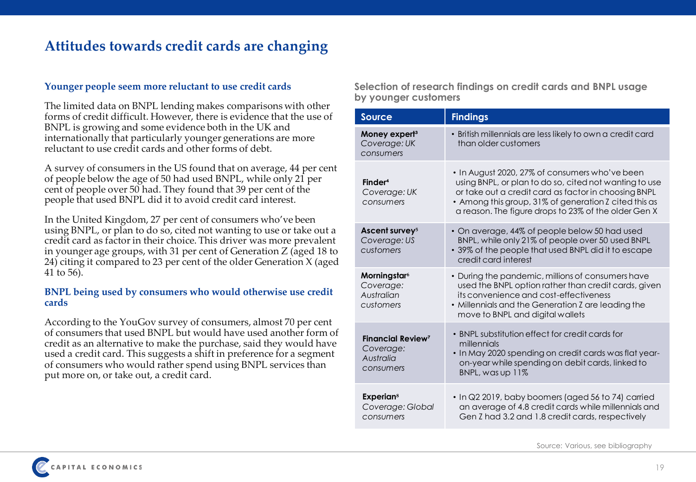### **Attitudes towards credit cards are changing**

#### **Younger people seem more reluctant to use credit cards**

The limited data on BNPL lending makes comparisons with other forms of credit difficult. However, there is evidence that the use of BNPL is growing and some evidence both in the UK and internationally that particularly younger generations are more reluctant to use credit cards and other forms of debt.

A survey of consumers in the US found that on average, 44 per cent of people below the age of 50 had used BNPL, while only 21 per cent of people over 50 had. They found that 39 per cent of the people that used BNPL did it to avoid credit card interest.

In the United Kingdom, 27 per cent of consumers who've been using BNPL, or plan to do so, cited not wanting to use or take out a credit card as factor in their choice. This driver was more prevalent in younger age groups, with 31 per cent of Generation Z (aged 18 to 24) citing it compared to 23 per cent of the older Generation X (aged 41 to 56).

#### **BNPL being used by consumers who would otherwise use credit cards**

According to the YouGov survey of consumers, almost 70 per cent of consumers that used BNPL but would have used another form of credit as an alternative to make the purchase, said they would have used a credit card. This suggests a shift in preference for a segment of consumers who would rather spend using BNPL services than put more on, or take out, a credit card.

**Selection of research findings on credit cards and BNPL usage by younger customers**

| <b>Source</b>                                                              | <b>Findings</b>                                                                                                                                                                                                                                                                   |
|----------------------------------------------------------------------------|-----------------------------------------------------------------------------------------------------------------------------------------------------------------------------------------------------------------------------------------------------------------------------------|
| Money expert <sup>3</sup><br>Coverage: UK<br>consumers                     | · British millennials are less likely to own a credit card<br>than older customers                                                                                                                                                                                                |
| Finder <sup>4</sup><br>Coverage: UK<br>consumers                           | • In August 2020, 27% of consumers who've been<br>using BNPL, or plan to do so, cited not wanting to use<br>or take out a credit card as factor in choosing BNPL<br>• Among this group, 31% of generation Z cited this as<br>a reason. The figure drops to 23% of the older Gen X |
| Ascent survey <sup>5</sup><br>Coverage: US<br>customers                    | • On average, 44% of people below 50 had used<br>BNPL, while only 21% of people over 50 used BNPL<br>• 39% of the people that used BNPL did it to escape<br>credit card interest                                                                                                  |
| Morningstar <sup>6</sup><br>Coverage:<br>Australian<br>customers           | • During the pandemic, millions of consumers have<br>used the BNPL option rather than credit cards, given<br>its convenience and cost-effectiveness<br>• Millennials and the Generation Z are leading the<br>move to BNPL and digital wallets                                     |
| <b>Financial Review<sup>7</sup></b><br>Coverage:<br>Australia<br>consumers | • BNPL substitution effect for credit cards for<br>millennials<br>• In May 2020 spending on credit cards was flat year-<br>on-year while spending on debit cards, linked to<br>BNPL, was up 11%                                                                                   |
| <b>Experian</b> <sup>8</sup><br>Coverage: Global<br>consumers              | . In Q2 2019, baby boomers (aged 56 to 74) carried<br>an average of 4.8 credit cards while millennials and<br>Gen Z had 3.2 and 1.8 credit cards, respectively                                                                                                                    |

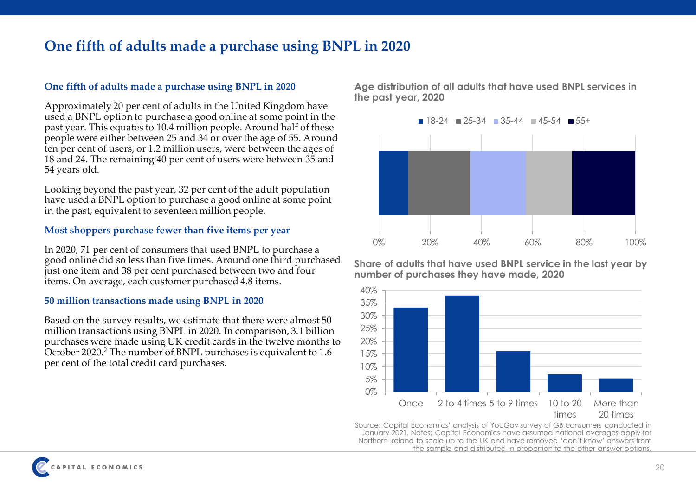### **One fifth of adults made a purchase using BNPL in 2020**

### **One fifth of adults made a purchase using BNPL in 2020**

Approximately 20 per cent of adults in the United Kingdom have used a BNPL option to purchase a good online at some point in the past year. This equates to 10.4 million people. Around half of these people were either between 25 and 34 or over the age of 55. Around ten per cent of users, or 1.2 million users, were between the ages of 18 and 24. The remaining 40 per cent of users were between 35 and 54 years old.

Looking beyond the past year, 32 per cent of the adult population have used a BNPL option to purchase a good online at some point in the past, equivalent to seventeen million people.

#### **Most shoppers purchase fewer than five items per year**

In 2020, 71 per cent of consumers that used BNPL to purchase a good online did so less than five times. Around one third purchased just one item and 38 per cent purchased between two and four items. On average, each customer purchased 4.8 items.

#### **50 million transactions made using BNPL in 2020**

Based on the survey results, we estimate that there were almost 50 million transactions using BNPL in 2020. In comparison, 3.1 billion purchases were made using UK credit cards in the twelve months to October 2020.<sup>2</sup> The number of BNPL purchases is equivalent to 1.6 per cent of the total credit card purchases.

**Age distribution of all adults that have used BNPL services in the past year, 2020**



**Share of adults that have used BNPL service in the last year by number of purchases they have made, 2020**



Source: Capital Economics' analysis of YouGov survey of GB consumers conducted in January 2021. Notes: Capital Economics have assumed national averages apply for Northern Ireland to scale up to the UK and have removed 'don't know' answers from the sample and distributed in proportion to the other answer options.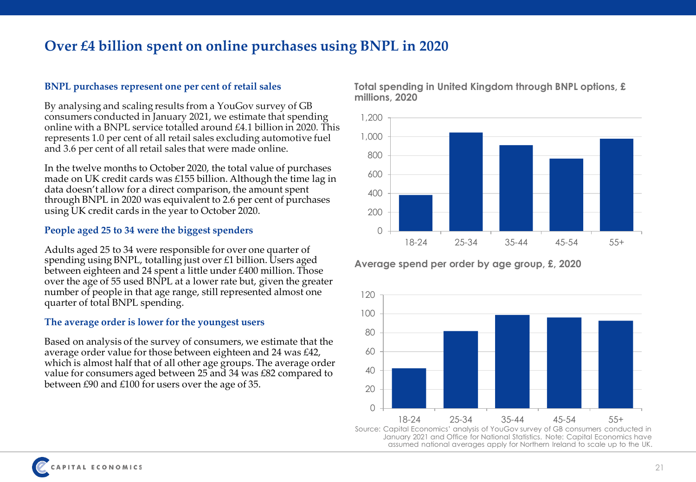### **Over £4 billion spent on online purchases using BNPL in 2020**

### **BNPL purchases represent one per cent of retail sales**

By analysing and scaling results from a YouGov survey of GB consumers conducted in January 2021, we estimate that spending online with a BNPL service totalled around £4.1 billion in 2020. This represents 1.0 per cent of all retail sales excluding automotive fuel and 3.6 per cent of all retail sales that were made online.

In the twelve months to October 2020, the total value of purchases made on UK credit cards was £155 billion. Although the time lag in data doesn't allow for a direct comparison, the amount spent through BNPL in 2020 was equivalent to 2.6 per cent of purchases using UK credit cards in the year to October 2020.

### **People aged 25 to 34 were the biggest spenders**

Adults aged 25 to 34 were responsible for over one quarter of spending using BNPL, totalling just over £1 billion. Users aged between eighteen and 24 spent a little under £400 million. Those over the age of 55 used BNPL at a lower rate but, given the greater number of people in that age range, still represented almost one quarter of total BNPL spending.

### **The average order is lower for the youngest users**

Based on analysis of the survey of consumers, we estimate that the average order value for those between eighteen and 24 was £42, which is almost half that of all other age groups. The average order value for consumers aged between 25 and 34 was £82 compared to between £90 and £100 for users over the age of 35.



**Total spending in United Kingdom through BNPL options, £ millions, 2020**

**Average spend per order by age group, £, 2020**

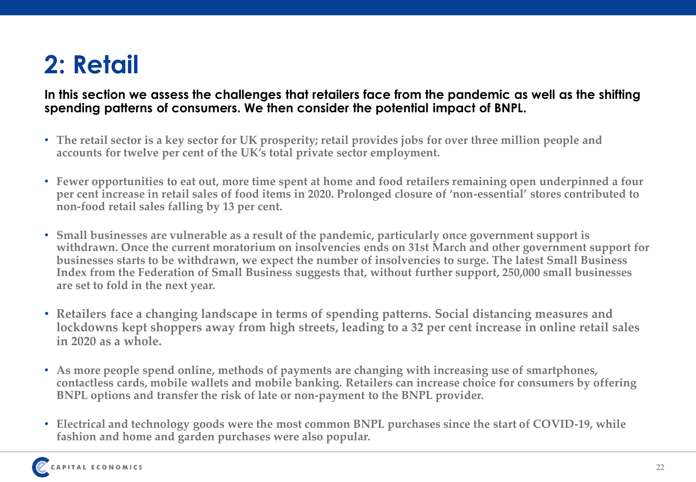# **2: Retail**

### **In this section we assess the challenges that retailers face from the pandemic as well as the shifting spending patterns of consumers. We then consider the potential impact of BNPL.**

- **The retail sector is a key sector for UK prosperity; retail provides jobs for over three million people and accounts for twelve per cent of the UK's total private sector employment.**
- **Fewer opportunities to eat out, more time spent at home and food retailers remaining open underpinned a four per cent increase in retail sales of food items in 2020. Prolonged closure of 'non-essential' stores contributed to non-food retail sales falling by 13 per cent.**
- **Small businesses are vulnerable as a result of the pandemic, particularly once government support is withdrawn. Once the current moratorium on insolvencies ends on 31st March and other government support for businesses starts to be withdrawn, we expect the number of insolvencies to surge. The latest Small Business Index from the Federation of Small Business suggests that, without further support, 250,000 small businesses are set to fold in the next year.**
- **Retailers face a changing landscape in terms of spending patterns. Social distancing measures and lockdowns kept shoppers away from high streets, leading to a 32 per cent increase in online retail sales in 2020 as a whole.**
- **As more people spend online, methods of payments are changing with increasing use of smartphones, contactless cards, mobile wallets and mobile banking. Retailers can increase choice for consumers by offering BNPL options and transfer the risk of late or non-payment to the BNPL provider.**
- **Electrical and technology goods were the most common BNPL purchases since the start of COVID-19, while fashion and home and garden purchases were also popular.**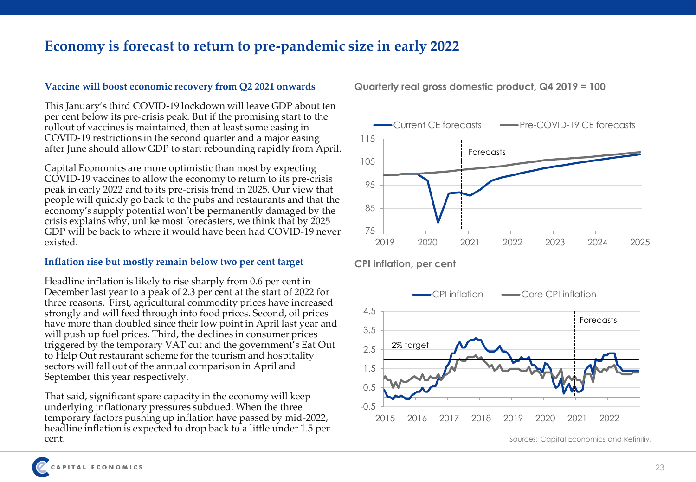### **Economy is forecast to return to pre-pandemic size in early 2022**

### **Vaccine will boost economic recovery from Q2 2021 onwards**

This January's third COVID-19 lockdown will leave GDP about ten per cent below its pre-crisis peak. But if the promising start to the rollout of vaccines is maintained, then at least some easing in COVID-19 restrictions in the second quarter and a major easing after June should allow GDP to start rebounding rapidly from April.

Capital Economics are more optimistic than most by expecting COVID-19 vaccines to allow the economy to return to its pre-crisis peak in early 2022 and to its pre-crisis trend in 2025. Our view that people will quickly go back to the pubs and restaurants and that the economy's supply potential won't be permanently damaged by the crisis explains why, unlike most forecasters, we think that by 2025 GDP will be back to where it would have been had COVID-19 never existed.

### **Inflation rise but mostly remain below two per cent target**

Headline inflation is likely to rise sharply from 0.6 per cent in December last year to a peak of 2.3 per cent at the start of 2022 for three reasons. First, agricultural commodity prices have increased strongly and will feed through into food prices. Second, oil prices have more than doubled since their low point in April last year and will push up fuel prices. Third, the declines in consumer prices triggered by the temporary VAT cut and the government's Eat Out to Help Out restaurant scheme for the tourism and hospitality sectors will fall out of the annual comparison in April and September this year respectively.

That said, significant spare capacity in the economy will keep underlying inflationary pressures subdued. When the three temporary factors pushing up inflation have passed by mid-2022, headline inflation is expected to drop back to a little under 1.5 per cent.



**CPI inflation, per cent**



Sources: Capital Economics and Refinitiv.

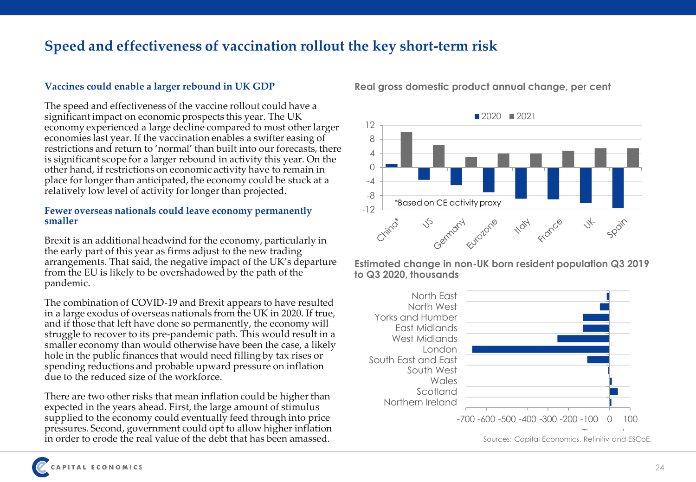### **Speed and effectiveness of vaccination rollout the key short-term risk**

### **Vaccines could enable a larger rebound in UK GDP**

The speed and effectiveness of the vaccine rollout could have a significant impact on economic prospects this year. The UK economy experienced a large decline compared to most other larger economies last year. If the vaccination enables a swifter easing of restrictions and return to 'normal' than built into our forecasts, there is significant scope for a larger rebound in activity this year. On the other hand, if restrictions on economic activity have to remain in place for longer than anticipated, the economy could be stuck at a relatively low level of activity for longer than projected.

#### **Fewer overseas nationals could leave economy permanently smaller**

Brexit is an additional headwind for the economy, particularly in the early part of this year as firms adjust to the new trading arrangements. That said, the negative impact of the UK's departure from the EU is likely to be overshadowed by the path of the pandemic.

The combination of COVID-19 and Brexit appears to have resulted in a large exodus of overseas nationals from the UK in 2020. If true, and if those that left have done so permanently, the economy will struggle to recover to its pre-pandemic path. This would result in a smaller economy than would otherwise have been the case, a likely hole in the public finances that would need filling by tax rises or spending reductions and probable upward pressure on inflation due to the reduced size of the workforce.

There are two other risks that mean inflation could be higher than expected in the years ahead. First, the large amount of stimulus supplied to the economy could eventually feed through into price pressures. Second, government could opt to allow higher inflation in order to erode the real value of the debt that has been amassed.



### **Real gross domestic product annual change, per cent**

**Estimated change in non-UK born resident population Q3 2019 to Q3 2020, thousands**

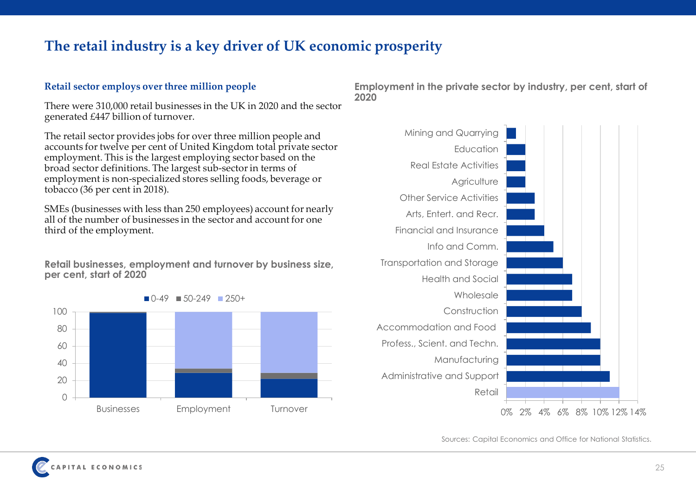## **The retail industry is a key driver of UK economic prosperity**

### **Retail sector employs over three million people**

There were 310,000 retail businesses in the UK in 2020 and the sector generated £447 billion of turnover.

The retail sector provides jobs for over three million people and accounts for twelve per cent of United Kingdom total private sector employment. This is the largest employing sector based on the broad sector definitions. The largest sub-sector in terms of employment is non-specialized stores selling foods, beverage or tobacco (36 per cent in 2018).

SMEs (businesses with less than 250 employees) account for nearly all of the number of businesses in the sector and account for one third of the employment.

**Retail businesses, employment and turnover by business size, per cent, start of 2020**



**Employment in the private sector by industry, per cent, start of 2020**



Sources: Capital Economics and Office for National Statistics.

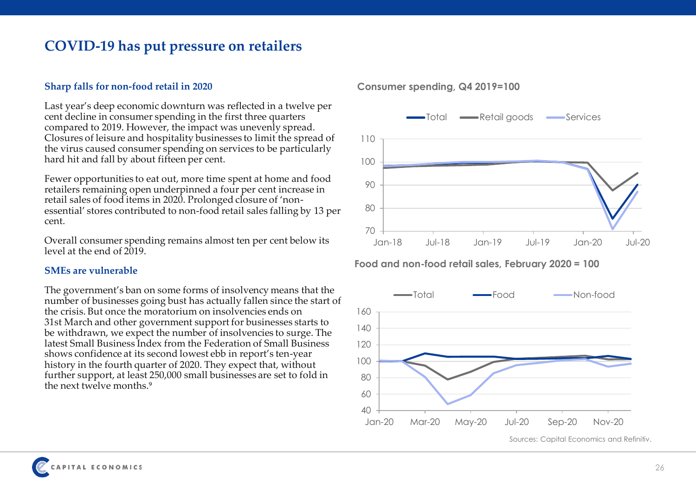### **COVID-19 has put pressure on retailers**

#### **Sharp falls for non-food retail in 2020**

Last year's deep economic downturn was reflected in a twelve per cent decline in consumer spending in the first three quarters compared to 2019. However, the impact was unevenly spread. Closures of leisure and hospitality businesses to limit the spread of the virus caused consumer spending on services to be particularly hard hit and fall by about fifteen per cent.

Fewer opportunities to eat out, more time spent at home and food retailers remaining open underpinned a four per cent increase in retail sales of food items in 2020. Prolonged closure of 'nonessential' stores contributed to non-food retail sales falling by 13 per cent.

Overall consumer spending remains almost ten per cent below its level at the end of 2019.

#### **SMEs are vulnerable**

The government's ban on some forms of insolvency means that the number of businesses going bust has actually fallen since the start of the crisis. But once the moratorium on insolvencies ends on 31st March and other government support for businesses starts to be withdrawn, we expect the number of insolvencies to surge. The latest Small Business Index from the Federation of Small Business shows confidence at its second lowest ebb in report's ten-year history in the fourth quarter of 2020. They expect that, without further support, at least 250,000 small businesses are set to fold in the next twelve months.<sup>9</sup>



**Consumer spending, Q4 2019=100**

**Food and non-food retail sales, February 2020 = 100**



Sources: Capital Economics and Refinitiv.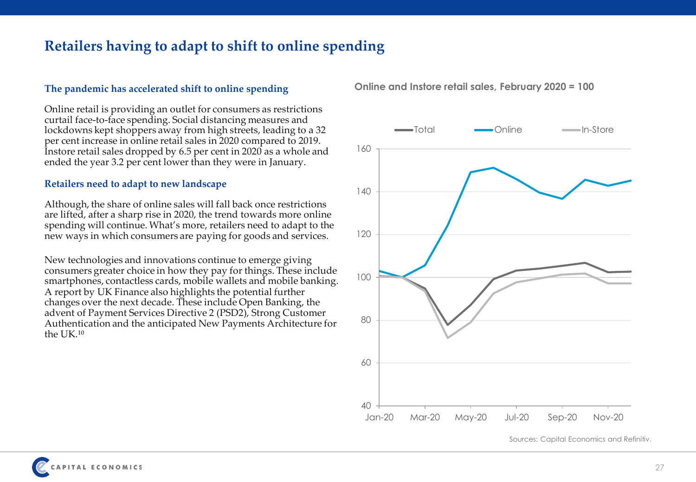## **Retailers having to adapt to shift to online spending**

### **The pandemic has accelerated shift to online spending**

Online retail is providing an outlet for consumers as restrictions curtail face-to-face spending. Social distancing measures and lockdowns kept shoppers away from high streets, leading to a 32 per cent increase in online retail sales in 2020 compared to 2019. Instore retail sales dropped by 6.5 per cent in 2020 as a whole and ended the year 3.2 per cent lower than they were in January.

#### **Retailers need to adapt to new landscape**

Although, the share of online sales will fall back once restrictions are lifted, after a sharp rise in 2020, the trend towards more online spending will continue. What's more, retailers need to adapt to the new ways in which consumers are paying for goods and services.

New technologies and innovations continue to emerge giving consumers greater choice in how they pay for things. These include smartphones, contactless cards, mobile wallets and mobile banking. A report by UK Finance also highlights the potential further changes over the next decade. These include Open Banking, the advent of Payment Services Directive 2 (PSD2), Strong Customer Authentication and the anticipated New Payments Architecture for the UK.<sup>10</sup>

**Online and Instore retail sales, February 2020 = 100**



Sources: Capital Economics and Refinitiv.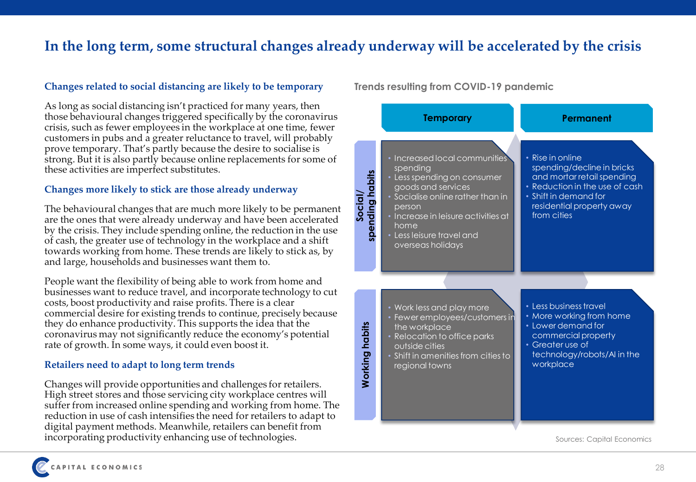## **In the long term, some structural changes already underway will be accelerated by the crisis**

### **Changes related to social distancing are likely to be temporary**

As long as social distancing isn't practiced for many years, then those behavioural changes triggered specifically by the coronavirus crisis, such as fewer employees in the workplace at one time, fewer customers in pubs and a greater reluctance to travel, will probably prove temporary. That's partly because the desire to socialise is strong. But it is also partly because online replacements for some of these activities are imperfect substitutes.

### **Changes more likely to stick are those already underway**

The behavioural changes that are much more likely to be permanent are the ones that were already underway and have been accelerated by the crisis. They include spending online, the reduction in the use of cash, the greater use of technology in the workplace and a shift towards working from home. These trends are likely to stick as, by and large, households and businesses want them to.

People want the flexibility of being able to work from home and businesses want to reduce travel, and incorporate technology to cut costs, boost productivity and raise profits. There is a clear commercial desire for existing trends to continue, precisely because they do enhance productivity. This supports the idea that the coronavirus may not significantly reduce the economy's potential rate of growth. In some ways, it could even boost it.

#### **Retailers need to adapt to long term trends**

Changes will provide opportunities and challenges for retailers. High street stores and those servicing city workplace centres will suffer from increased online spending and working from home. The reduction in use of cash intensifies the need for retailers to adapt to digital payment methods. Meanwhile, retailers can benefit from incorporating productivity enhancing use of technologies.

### **Trends resulting from COVID-19 pandemic**

|                           | <b>Temporary</b>                                                                                                                                                                                                                             | Permanent                                                                                                                                                                           |
|---------------------------|----------------------------------------------------------------------------------------------------------------------------------------------------------------------------------------------------------------------------------------------|-------------------------------------------------------------------------------------------------------------------------------------------------------------------------------------|
| spending habits<br>Social | Increased local communities<br>spending<br>• Less spending on consumer<br>goods and services<br>• Socialise online rather than in<br>person<br>• Increase in leisure activities at<br>home<br>• Less leisure travel and<br>overseas holidays | • Rise in online<br>spending/decline in bricks<br>and mortar retail spending<br>• Reduction in the use of cash<br>• Shift in demand for<br>residential property away<br>from cities |
| <b>Norking habits</b>     | • Work less and play more<br>• Fewer employees/customers in<br>the workplace<br>• Relocation to office parks<br>outside cities<br>• Shift in amenities from cities to<br>regional towns                                                      | • Less business travel<br>• More working from home<br>• Lower demand for<br>commercial property<br>• Greater use of<br>technology/robots/AI in the<br>workplace                     |

Sources: Capital Economics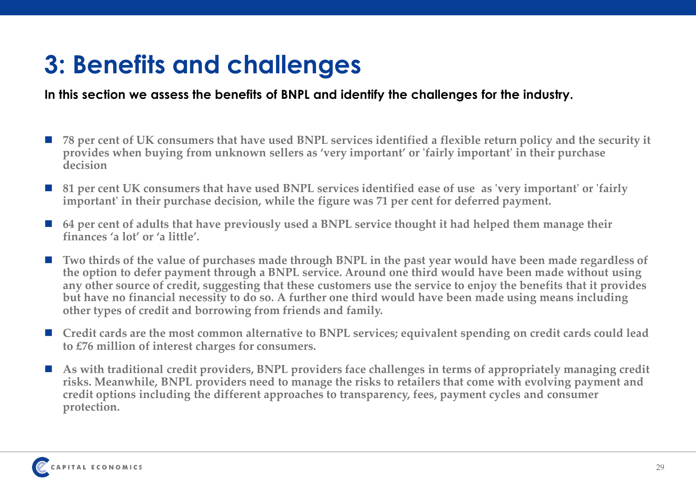# **3: Benefits and challenges**

### **In this section we assess the benefits of BNPL and identify the challenges for the industry.**

- 78 per cent of UK consumers that have used BNPL services identified a flexible return policy and the security it **provides when buying from unknown sellers as 'very important' or 'fairly important' in their purchase decision**
- 81 per cent UK consumers that have used BNPL services identified ease of use as 'very important' or 'fairly **important' in their purchase decision, while the figure was 71 per cent for deferred payment.**
- 64 per cent of adults that have previously used a BNPL service thought it had helped them manage their **finances 'a lot' or 'a little'.**
- Two thirds of the value of purchases made through BNPL in the past year would have been made regardless of **the option to defer payment through a BNPL service. Around one third would have been made without using any other source of credit, suggesting that these customers use the service to enjoy the benefits that it provides but have no financial necessity to do so. A further one third would have been made using means including other types of credit and borrowing from friends and family.**
- Credit cards are the most common alternative to BNPL services; equivalent spending on credit cards could lead **to £76 million of interest charges for consumers.**
- As with traditional credit providers, BNPL providers face challenges in terms of appropriately managing credit **risks. Meanwhile, BNPL providers need to manage the risks to retailers that come with evolving payment and credit options including the different approaches to transparency, fees, payment cycles and consumer protection.**

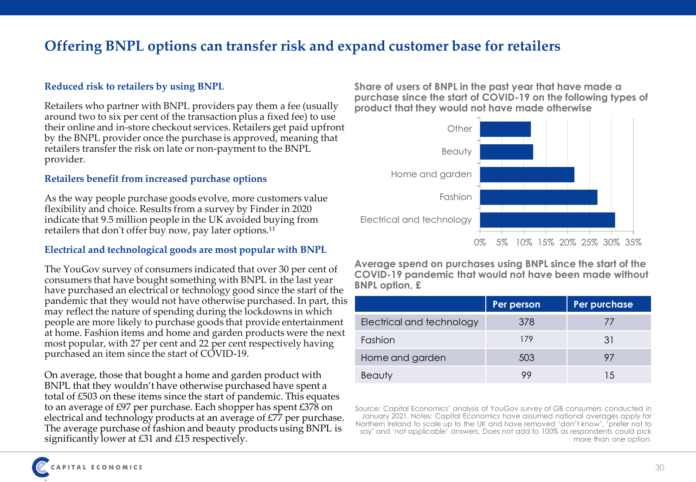## **Offering BNPL options can transfer risk and expand customer base for retailers**

### **Reduced risk to retailers by using BNPL**

Retailers who partner with BNPL providers pay them a fee (usually around two to six per cent of the transaction plus a fixed fee) to use their online and in-store checkout services. Retailers get paid upfront by the BNPL provider once the purchase is approved, meaning that retailers transfer the risk on late or non-payment to the BNPL provider.

### **Retailers benefit from increased purchase options**

As the way people purchase goods evolve, more customers value flexibility and choice. Results from a survey by Finder in 2020 indicate that 9.5 million people in the UK avoided buying from retailers that don't offer buy now, pay later options.<sup>11</sup>

### **Electrical and technological goods are most popular with BNPL**

The YouGov survey of consumers indicated that over 30 per cent of consumers that have bought something with BNPL in the last year have purchased an electrical or technology good since the start of the pandemic that they would not have otherwise purchased. In part, this may reflect the nature of spending during the lockdowns in which people are more likely to purchase goods that provide entertainment at home. Fashion items and home and garden products were the next most popular, with 27 per cent and 22 per cent respectively having purchased an item since the start of COVID-19.

On average, those that bought a home and garden product with BNPL that they wouldn't have otherwise purchased have spent a total of £503 on these items since the start of pandemic. This equates to an average of £97 per purchase. Each shopper has spent £378 on electrical and technology products at an average of £77 per purchase. The average purchase of fashion and beauty products using BNPL is significantly lower at £31 and £15 respectively.

**Share of users of BNPL in the past year that have made a purchase since the start of COVID-19 on the following types of product that they would not have made otherwise**



**Average spend on purchases using BNPL since the start of the COVID-19 pandemic that would not have been made without BNPL option, £** 

|                           | Per person | Per purchase   |
|---------------------------|------------|----------------|
| Electrical and technology | 378        | $\prime\prime$ |
| Fashion                   | 179        | 31             |
| Home and garden           | 503        | 97             |
| Beauty                    |            | 1.5            |

Source: Capital Economics' analysis of YouGov survey of GB consumers conducted in January 2021. Notes: Capital Economics have assumed national averages apply for Northern Ireland to scale up to the UK and have removed 'don't know', 'prefer not to say' and 'not applicable' answers. Does not add to 100% as respondents could pick more than one option.

.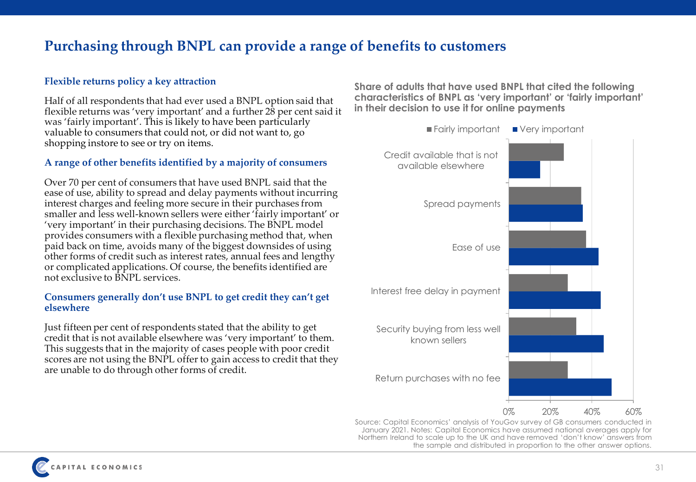### **Purchasing through BNPL can provide a range of benefits to customers**

### **Flexible returns policy a key attraction**

Half of all respondents that had ever used a BNPL option said that flexible returns was 'very important' and a further 28 per cent said it was 'fairly important'. This is likely to have been particularly valuable to consumers that could not, or did not want to, go shopping instore to see or try on items.

#### **A range of other benefits identified by a majority of consumers**

Over 70 per cent of consumers that have used BNPL said that the ease of use, ability to spread and delay payments without incurring interest charges and feeling more secure in their purchases from smaller and less well-known sellers were either 'fairly important' or 'very important' in their purchasing decisions. The BNPL model provides consumers with a flexible purchasing method that, when paid back on time, avoids many of the biggest downsides of using other forms of credit such as interest rates, annual fees and lengthy or complicated applications. Of course, the benefits identified are not exclusive to BNPL services.

#### **Consumers generally don't use BNPL to get credit they can't get elsewhere**

Just fifteen per cent of respondents stated that the ability to get credit that is not available elsewhere was 'very important' to them. This suggests that in the majority of cases people with poor credit scores are not using the BNPL offer to gain access to credit that they are unable to do through other forms of credit.

**Share of adults that have used BNPL that cited the following characteristics of BNPL as 'very important' or 'fairly important' in their decision to use it for online payments**



Source: Capital Economics' analysis of YouGov survey of GB consumers conducted in January 2021. Notes: Capital Economics have assumed national averages apply for Northern Ireland to scale up to the UK and have removed 'don't know' answers from the sample and distributed in proportion to the other answer options.

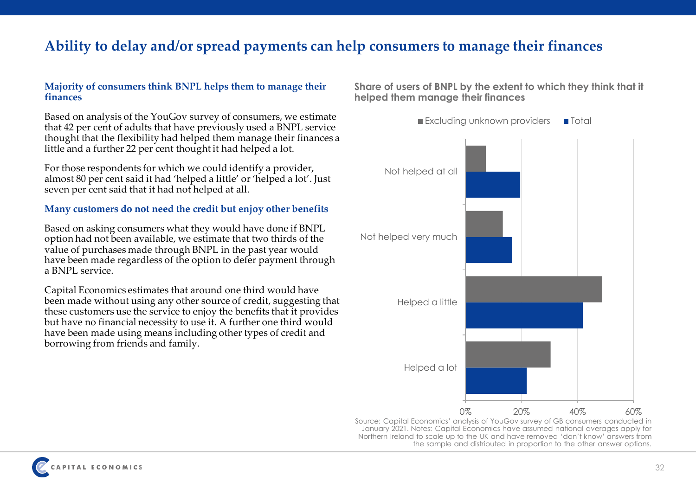### **Ability to delay and/or spread payments can help consumers to manage their finances**

#### **Majority of consumers think BNPL helps them to manage their finances**

Based on analysis of the YouGov survey of consumers, we estimate that 42 per cent of adults that have previously used a BNPL service thought that the flexibility had helped them manage their finances a little and a further 22 per cent thought it had helped a lot.

For those respondents for which we could identify a provider, almost 80 per cent said it had 'helped a little' or 'helped a lot'. Just seven per cent said that it had not helped at all.

### **Many customers do not need the credit but enjoy other benefits**

Based on asking consumers what they would have done if BNPL option had not been available, we estimate that two thirds of the value of purchases made through BNPL in the past year would have been made regardless of the option to defer payment through a BNPL service.

Capital Economics estimates that around one third would have been made without using any other source of credit, suggesting that these customers use the service to enjoy the benefits that it provides but have no financial necessity to use it. A further one third would have been made using means including other types of credit and borrowing from friends and family.

**Share of users of BNPL by the extent to which they think that it helped them manage their finances**

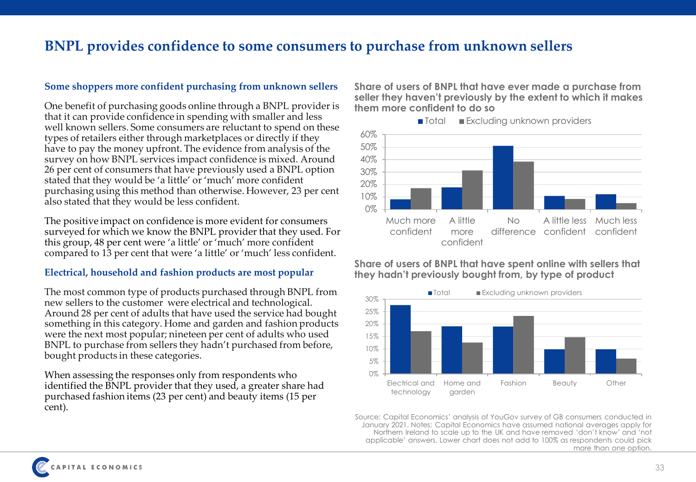### **BNPL provides confidence to some consumers to purchase from unknown sellers**

#### **Some shoppers more confident purchasing from unknown sellers**

One benefit of purchasing goods online through a BNPL provider is that it can provide confidence in spending with smaller and less well known sellers. Some consumers are reluctant to spend on these types of retailers either through marketplaces or directly if they have to pay the money upfront. The evidence from analysis of the survey on how BNPL services impact confidence is mixed. Around 26 per cent of consumers that have previously used a BNPL option stated that they would be 'a little' or 'much' more confident purchasing using this method than otherwise. However, 23 per cent also stated that they would be less confident.

The positive impact on confidence is more evident for consumers surveyed for which we know the BNPL provider that they used. For this group, 48 per cent were 'a little' or 'much' more confident compared to 13 per cent that were 'a little' or 'much' less confident.

#### **Electrical, household and fashion products are most popular**

The most common type of products purchased through BNPL from new sellers to the customer were electrical and technological. Around 28 per cent of adults that have used the service had bought something in this category. Home and garden and fashion products were the next most popular; nineteen per cent of adults who used BNPL to purchase from sellers they hadn't purchased from before, bought products in these categories.

When assessing the responses only from respondents who identified the BNPL provider that they used, a greater share had purchased fashion items (23 per cent) and beauty items (15 per cent).

**Share of users of BNPL that have ever made a purchase from seller they haven't previously by the extent to which it makes them more confident to do so**





### **Share of users of BNPL that have spent online with sellers that they hadn't previously bought from, by type of product**



Source: Capital Economics' analysis of YouGov survey of GB consumers conducted in January 2021. Notes: Capital Economics have assumed national averages apply for Northern Ireland to scale up to the UK and have removed 'don't know' and 'not applicable' answers. Lower chart does not add to 100% as respondents could pick more than one option.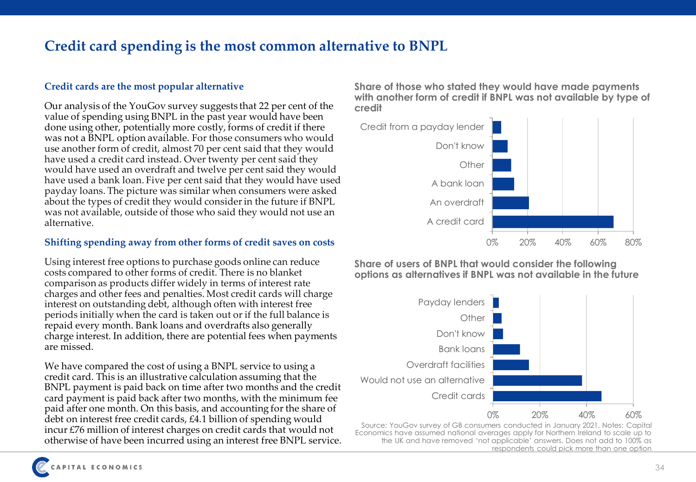## **Credit card spending is the most common alternative to BNPL**

### **Credit cards are the most popular alternative**

Our analysis of the YouGov survey suggests that 22 per cent of the value of spending using BNPL in the past year would have been done using other, potentially more costly, forms of credit if there was not a BNPL option available. For those consumers who would use another form of credit, almost 70 per cent said that they would have used a credit card instead. Over twenty per cent said they would have used an overdraft and twelve per cent said they would have used a bank loan. Five per cent said that they would have used payday loans. The picture was similar when consumers were asked about the types of credit they would consider in the future if BNPL was not available, outside of those who said they would not use an alternative.

### **Shifting spending away from other forms of credit saves on costs**

Using interest free options to purchase goods online can reduce costs compared to other forms of credit. There is no blanket comparison as products differ widely in terms of interest rate charges and other fees and penalties. Most credit cards will charge interest on outstanding debt, although often with interest free periods initially when the card is taken out or if the full balance is repaid every month. Bank loans and overdrafts also generally charge interest. In addition, there are potential fees when payments are missed.

We have compared the cost of using a BNPL service to using a credit card. This is an illustrative calculation assuming that the BNPL payment is paid back on time after two months and the credit card payment is paid back after two months, with the minimum fee paid after one month. On this basis, and accounting for the share of debt on interest free credit cards, £4.1 billion of spending would incur £76 million of interest charges on credit cards that would not otherwise of have been incurred using an interest free BNPL service. **Share of those who stated they would have made payments with another form of credit if BNPL was not available by type of credit**



**Share of users of BNPL that would consider the following options as alternatives if BNPL was not available in the future**



Source: YouGov survey of GB consumers conducted in January 2021. Notes: Capital Economics have assumed national averages apply for Northern Ireland to scale up to the UK and have removed 'not applicable' answers. Does not add to 100% as respondents could pick more than one option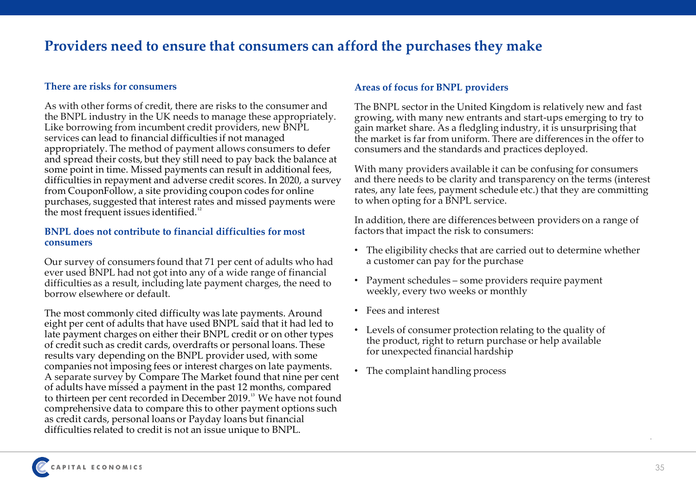### **Providers need to ensure that consumers can afford the purchases they make**

#### **There are risks for consumers**

As with other forms of credit, there are risks to the consumer and the BNPL industry in the UK needs to manage these appropriately. Like borrowing from incumbent credit providers, new BNPL services can lead to financial difficulties if not managed appropriately. The method of payment allows consumers to defer and spread their costs, but they still need to pay back the balance at some point in time. Missed payments can result in additional fees, difficulties in repayment and adverse credit scores. In 2020, a survey from CouponFollow, a site providing coupon codes for online purchases, suggested that interest rates and missed payments were the most frequent issues identified.<sup>12</sup>

#### **BNPL does not contribute to financial difficulties for most consumers**

Our survey of consumers found that 71 per cent of adults who had ever used BNPL had not got into any of a wide range of financial difficulties as a result, including late payment charges, the need to borrow elsewhere or default.

The most commonly cited difficulty was late payments. Around eight per cent of adults that have used BNPL said that it had led to late payment charges on either their BNPL credit or on other types of credit such as credit cards, overdrafts or personal loans. These results vary depending on the BNPL provider used, with some companies not imposing fees or interest charges on late payments. A separate survey by Compare The Market found that nine per cent of adults have missed a payment in the past 12 months, compared to thirteen per cent recorded in December 2019.<sup>13</sup> We have not found comprehensive data to compare this to other payment options such as credit cards, personal loans or Payday loans but financial difficulties related to credit is not an issue unique to BNPL.

### **Areas of focus for BNPL providers**

The BNPL sector in the United Kingdom is relatively new and fast growing, with many new entrants and start-ups emerging to try to gain market share. As a fledgling industry, it is unsurprising that the market is far from uniform. There are differences in the offer to consumers and the standards and practices deployed.

With many providers available it can be confusing for consumers and there needs to be clarity and transparency on the terms (interest rates, any late fees, payment schedule etc.) that they are committing to when opting for a BNPL service.

In addition, there are differences between providers on a range of factors that impact the risk to consumers:

- The eligibility checks that are carried out to determine whether a customer can pay for the purchase
- Payment schedules some providers require payment weekly, every two weeks or monthly
- Fees and interest
- Levels of consumer protection relating to the quality of the product, right to return purchase or help available for unexpected financial hardship
- The complaint handling process

.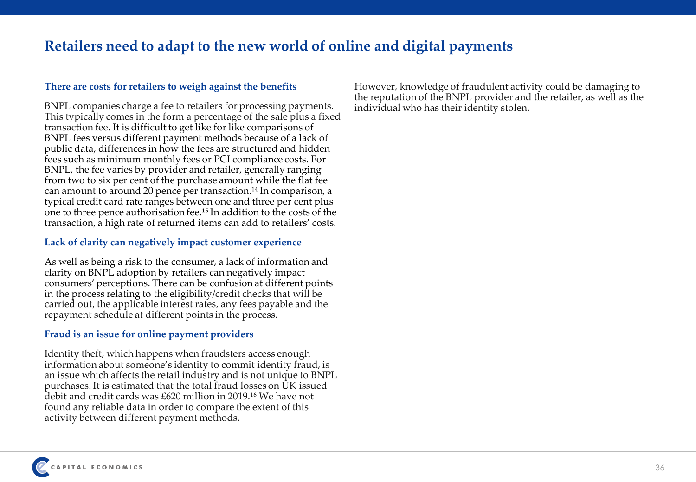## **Retailers need to adapt to the new world of online and digital payments**

### **There are costs for retailers to weigh against the benefits**

BNPL companies charge a fee to retailers for processing payments. This typically comes in the form a percentage of the sale plus a fixed transaction fee. It is difficult to get like for like comparisons of BNPL fees versus different payment methods because of a lack of public data, differences in how the fees are structured and hidden fees such as minimum monthly fees or PCI compliance costs. For BNPL, the fee varies by provider and retailer, generally ranging from two to six per cent of the purchase amount while the flat fee can amount to around 20 pence per transaction.<sup>14</sup> In comparison, a typical credit card rate ranges between one and three per cent plus one to three pence authorisation fee.<sup>15</sup> In addition to the costs of the transaction, a high rate of returned items can add to retailers' costs.

### **Lack of clarity can negatively impact customer experience**

As well as being a risk to the consumer, a lack of information and clarity on BNPL adoption by retailers can negatively impact consumers' perceptions. There can be confusion at different points in the process relating to the eligibility/credit checks that will be carried out, the applicable interest rates, any fees payable and the repayment schedule at different points in the process.

#### **Fraud is an issue for online payment providers**

Identity theft, which happens when fraudsters access enough information about someone's identity to commit identity fraud, is an issue which affects the retail industry and is not unique to BNPL purchases. It is estimated that the total fraud losses on UK issued debit and credit cards was £620 million in 2019.<sup>16</sup> We have not found any reliable data in order to compare the extent of this activity between different payment methods.

However, knowledge of fraudulent activity could be damaging to the reputation of the BNPL provider and the retailer, as well as the individual who has their identity stolen.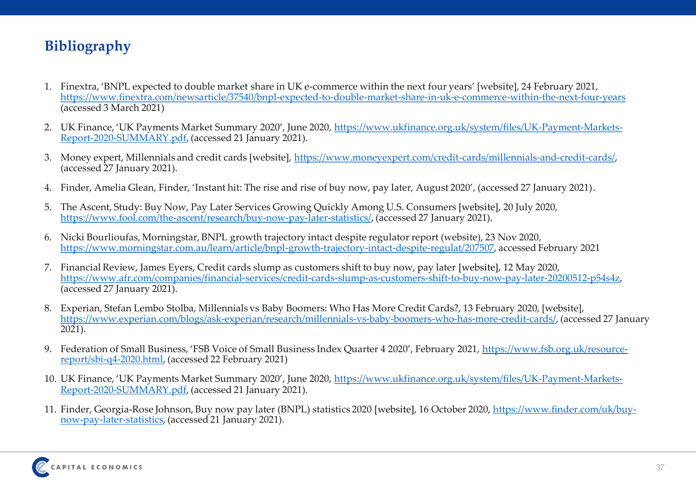## **Bibliography**

- 1. Finextra, 'BNPL expected to double market share in UK e-commerce within the next four years' [website], 24 February 2021, <https://www.finextra.com/newsarticle/37540/bnpl-expected-to-double-market-share-in-uk-e-commerce-within-the-next-four-years> (accessed 3 March 2021)
- 2. UK Finance, 'UK Payments Market Summary 2020', June 2020, [https://www.ukfinance.org.uk/system/files/UK-Payment-Markets-](https://www.ukfinance.org.uk/system/files/UK-Payment-Markets-Report-2020-SUMMARY.pdf)Report-2020-SUMMARY.pdf, (accessed 21 January 2021).
- 3. Money expert, Millennials and credit cards [website], <https://www.moneyexpert.com/credit-cards/millennials-and-credit-cards/>, (accessed 27 January 2021).
- 4. Finder, Amelia Glean, Finder, 'Instant hit: The rise and rise of buy now, pay later, August 2020', (accessed 27 January 2021).
- 5. The Ascent, Study: Buy Now, Pay Later Services Growing Quickly Among U.S. Consumers [website], 20 July 2020, <https://www.fool.com/the-ascent/research/buy-now-pay-later-statistics/>, (accessed 27 January 2021).
- 6. Nicki Bourlioufas, Morningstar, BNPL growth trajectory intact despite regulator report (website), 23 Nov 2020, [https://www.morningstar.com.au/learn/article/bnpl-growth-trajectory-intact-despite-regulat/207507,](https://www.morningstar.com.au/learn/article/bnpl-growth-trajectory-intact-despite-regulat/207507) accessed February 2021
- 7. Financial Review, James Eyers, Credit cards slump as customers shift to buy now, pay later [website], 12 May 2020, [https://www.afr.com/companies/financial-services/credit-cards-slump-as-customers-shift-to-buy-now-pay-later-20200512-p54s4z,](https://www.afr.com/companies/financial-services/credit-cards-slump-as-customers-shift-to-buy-now-pay-later-20200512-p54s4z) (accessed 27 January 2021).
- 8. Experian, Stefan Lembo Stolba, Millennials vs Baby Boomers: Who Has More Credit Cards?, 13 February 2020, [website], <https://www.experian.com/blogs/ask-experian/research/millennials-vs-baby-boomers-who-has-more-credit-cards/>, (accessed 27 January  $2021$ ).
- 9. [Federation of Small Business, 'FSB Voice of Small Business Index Quarter 4 2020', February 2021,](https://www.fsb.org.uk/resource-report/sbi-q4-2020.html) https://www.fsb.org.uk/resourcereport/sbi-q4-2020.html, (accessed 22 February 2021)
- 10. UK Finance, 'UK Payments Market Summary 2020', June 2020, [https://www.ukfinance.org.uk/system/files/UK-Payment-Markets-](https://www.ukfinance.org.uk/system/files/UK-Payment-Markets-Report-2020-SUMMARY.pdf)Report-2020-SUMMARY.pdf, (accessed 21 January 2021).
- 11. [Finder, Georgia-Rose Johnson, Buy now pay later \(BNPL\) statistics 2020](https://www.finder.com/uk/buy-now-pay-later-statistics) [website], 16 October 2020, https://www.finder.com/uk/buynow-pay-later-statistics, (accessed 21 January 2021).